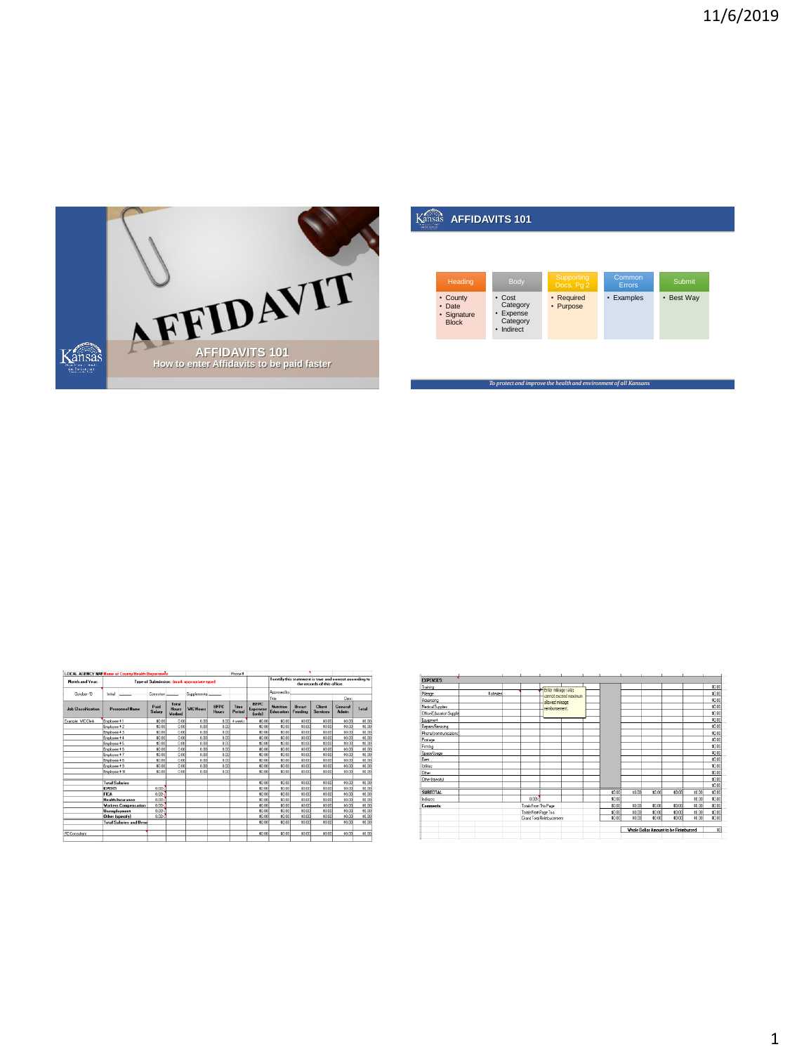

| بالمحجوب |                                                   | <b>AFFIDAVITS 101</b>                                              |                          |                         |            |
|----------|---------------------------------------------------|--------------------------------------------------------------------|--------------------------|-------------------------|------------|
|          |                                                   |                                                                    |                          |                         |            |
|          |                                                   |                                                                    |                          |                         |            |
|          | Heading                                           | Body                                                               | Supporting<br>Docs, Pg 2 | Common<br><b>Errors</b> | Submit     |
|          | • County<br>• Date<br>· Signature<br><b>Block</b> | $\cdot$ Cost<br>Category<br>• Expense<br>Category<br>Indirect<br>٠ | • Required<br>• Purpose  | • Examples              | • Best Way |

| <b>LOCAL AGENCY NAP Name of County Health Department</b> |                        |                                |                |                                        |                                             |                      | Phone #                       |                                          |                        |                          |                                                                                          |                  |        |
|----------------------------------------------------------|------------------------|--------------------------------|----------------|----------------------------------------|---------------------------------------------|----------------------|-------------------------------|------------------------------------------|------------------------|--------------------------|------------------------------------------------------------------------------------------|------------------|--------|
| Month and Year:                                          |                        |                                |                |                                        | Type of Submission: (mark appropriate type) |                      |                               |                                          |                        |                          | I certify this statement is true and correct according to<br>the records of this office. |                  |        |
| Dotober-19                                               | Initial                |                                | Correction     |                                        | Supplements                                 |                      |                               |                                          | Accrosed by:<br>Tale:  |                          |                                                                                          | Date             |        |
| <b>Job Classification</b>                                |                        | <b>Personnel Name</b>          | Paid<br>Salary | Total<br><b>House</b><br><b>Worked</b> | <b>WIC Hours</b>                            | <b>REPC</b><br>Hours | Time<br>Period                | <b>BFPC</b><br>Expenses<br><b>fonly)</b> | Numitions<br>Education | <b>Benast</b><br>Feeding | Client<br><b>Services</b>                                                                | General<br>Admin | Total  |
| Example: WCClerk                                         | Employee #1            |                                | \$0.00         | 0.00                                   | 0.00                                        | nool                 | <b><i><u>Augustre</u></i></b> | \$9.00                                   | \$0.00                 | \$0.00                   | \$0.00                                                                                   | \$0.00           | \$0.00 |
|                                                          | Employee +2            |                                | \$0.00         | 0.00                                   | 0.00                                        | 0.00                 |                               | \$0.00                                   | \$0.00                 | \$0.00                   | 30.00                                                                                    | \$0.00           | \$0.00 |
|                                                          | Employee #3            |                                | \$0.00         | 0.00                                   | 0.00                                        | 0.00                 |                               | \$9.00                                   | \$0.00                 | \$0.00                   | \$0.00                                                                                   | \$0.00           | \$0.00 |
|                                                          | Errolouee # 4          |                                | \$0.00         | 0.00                                   | 0.00                                        | 0.00                 |                               | \$0.00                                   | \$0.00                 | \$0.00                   | \$0.00                                                                                   | \$0.00           | \$0.00 |
|                                                          | Employee #5            |                                | \$0.00         | 0.00                                   | 0.00                                        | 000                  |                               | \$9.00                                   | \$9.93                 | \$0.00                   | \$0.00                                                                                   | \$0.00           | \$0.00 |
|                                                          | Employee #6            |                                | \$0.05         | 0.00                                   | 0.00                                        | 0.00                 |                               | \$9.00                                   | \$0.00                 | \$0.00                   | \$0.00                                                                                   | \$0.00           | \$9.00 |
|                                                          | Employee + 7           |                                | \$0.00         | 000                                    | 0.00                                        | n or                 |                               | \$0.00                                   | \$0.00                 | \$0.00                   | \$0.00                                                                                   | \$0.00           | \$0.00 |
|                                                          | Employee #8            |                                | \$0.00         | 0.00                                   | 0.00                                        | 0.00                 |                               | \$9.00                                   | \$0.00                 | \$0.00                   | \$0.00                                                                                   | \$0.00           | \$0.00 |
|                                                          | Errolouee # 9          |                                | \$0.00         | 0.00                                   | 0.00                                        | 0.00                 |                               | \$0.00                                   | 40.00                  | \$0.00                   | 80.00                                                                                    | \$0.00           | \$0.00 |
|                                                          | Employee # 10          |                                | \$0.00         | 0.00                                   | 0.00                                        | 0.00                 |                               | \$9.00                                   | \$9.99                 | \$0.00                   | \$0.00                                                                                   | \$0.00           | \$0.00 |
|                                                          | <b>Total Salaries</b>  |                                |                |                                        |                                             |                      |                               | \$0.00                                   | \$0.00                 | 3000                     | 30.00                                                                                    | \$0.00           | \$0.00 |
|                                                          | <b>KPERS</b>           |                                | 0.002          |                                        |                                             |                      |                               | \$0.00                                   | \$0.00                 | \$0.00                   | \$0.00                                                                                   | \$0.00           | \$0.00 |
|                                                          | <b>FICA</b>            |                                | 0.002          |                                        |                                             |                      |                               | \$0.00                                   | 40.00                  | \$0.00                   | 80.00                                                                                    | \$0.00           | 10.00  |
|                                                          |                        | <b>Health Insurance</b>        | 0.00%          |                                        |                                             |                      |                               | \$0.00                                   | \$0.00                 | \$0.00                   | \$0.00                                                                                   | \$0.00           | \$0.00 |
|                                                          |                        | <b>Workers Compensation</b>    | 0.002          |                                        |                                             |                      |                               | \$0.00                                   | \$0.00                 | \$0.00                   | \$0.00                                                                                   | \$0.00           | \$0.00 |
|                                                          | <b>Unemployment</b>    |                                | 0.002          |                                        |                                             |                      |                               | \$0.00                                   | \$0.00                 | \$0.00                   | \$0.00                                                                                   | \$0.00           | \$0.00 |
|                                                          | <b>Other (specify)</b> |                                | 0.002          |                                        |                                             |                      |                               | \$0.00                                   | \$0.00                 | 40.00                    | \$0.00                                                                                   | 40.00            | \$0.00 |
|                                                          |                        | <b>Total Salaries and Bene</b> |                |                                        |                                             |                      |                               | \$0.00                                   | \$0.00                 | \$0.00                   | \$0.00                                                                                   | \$0.00           | \$0.00 |
| <b>FD Consultant</b>                                     |                        |                                |                |                                        |                                             |                      |                               | \$0.00                                   | \$0.00                 | \$0.00                   | 80.00                                                                                    | \$0.00           | \$0.00 |

|                                         |                              |                       |                           |                       |        |        | Whole Dollar Amount to be Reimbursed |        |        | ग्रा            |
|-----------------------------------------|------------------------------|-----------------------|---------------------------|-----------------------|--------|--------|--------------------------------------|--------|--------|-----------------|
|                                         |                              |                       |                           |                       |        |        |                                      |        |        |                 |
|                                         |                              |                       | Grand Total Reimbursement |                       | \$0.00 | \$0.00 | \$0.00                               | \$0.00 | \$0.00 | \$0.00          |
|                                         |                              | Totals From Page Two  |                           |                       | 40.00  | \$0.00 | \$0.00                               | \$9.00 | \$0.00 | 40.00           |
| Comments:                               |                              | Totals From This Page |                           |                       | \$0.00 | \$0.00 | \$0.00                               | \$9.00 | \$0.00 | 40.00           |
| Indeects                                |                              | 0.002                 |                           |                       | \$0.00 |        |                                      |        | \$0.00 | \$0.00          |
| <b>SUBTOTAL</b>                         |                              |                       |                           |                       | \$000  | \$9.00 | \$000                                | \$0.00 | \$000  | \$0.00          |
|                                         |                              |                       |                           |                       |        |        |                                      |        |        | 40.00           |
| Diher (specify)                         |                              |                       |                           |                       |        |        |                                      |        |        | \$0.00          |
| Déser                                   |                              |                       |                           |                       |        |        |                                      |        |        | \$0.00          |
| Utilities                               |                              |                       |                           |                       |        |        |                                      |        |        | \$0.00          |
| Rent                                    |                              |                       |                           |                       |        |        |                                      |        |        | \$0.00          |
| Space Usage                             |                              |                       |                           |                       |        |        |                                      |        |        | \$0.00          |
| Printing                                |                              |                       |                           |                       |        |        |                                      |        |        | \$0.00          |
| Postage                                 |                              |                       |                           |                       |        |        |                                      |        |        | \$0.00          |
| Phone (communications)                  |                              |                       |                           |                       |        |        |                                      |        |        | \$0.00          |
| Repairs/Servicing                       |                              |                       |                           |                       |        |        |                                      |        |        | \$0.00          |
| Office/Education Supplies<br>Equipment. |                              |                       |                           |                       |        |        |                                      |        |        | 40.00<br>\$0.00 |
| Medical Supplies                        |                              |                       | reimbursement.            |                       |        |        |                                      |        |        | 40.00           |
| Advertising                             |                              |                       | alowed mieage             |                       |        |        |                                      |        |        | 40.00           |
| Mieage                                  | <b><i><u>Animáno</u></i></b> |                       |                           | cannot exceed maximum |        |        |                                      |        |        | 40.00           |
| Training                                |                              |                       | Enter mieage rate;        |                       |        |        |                                      |        |        | 40.00           |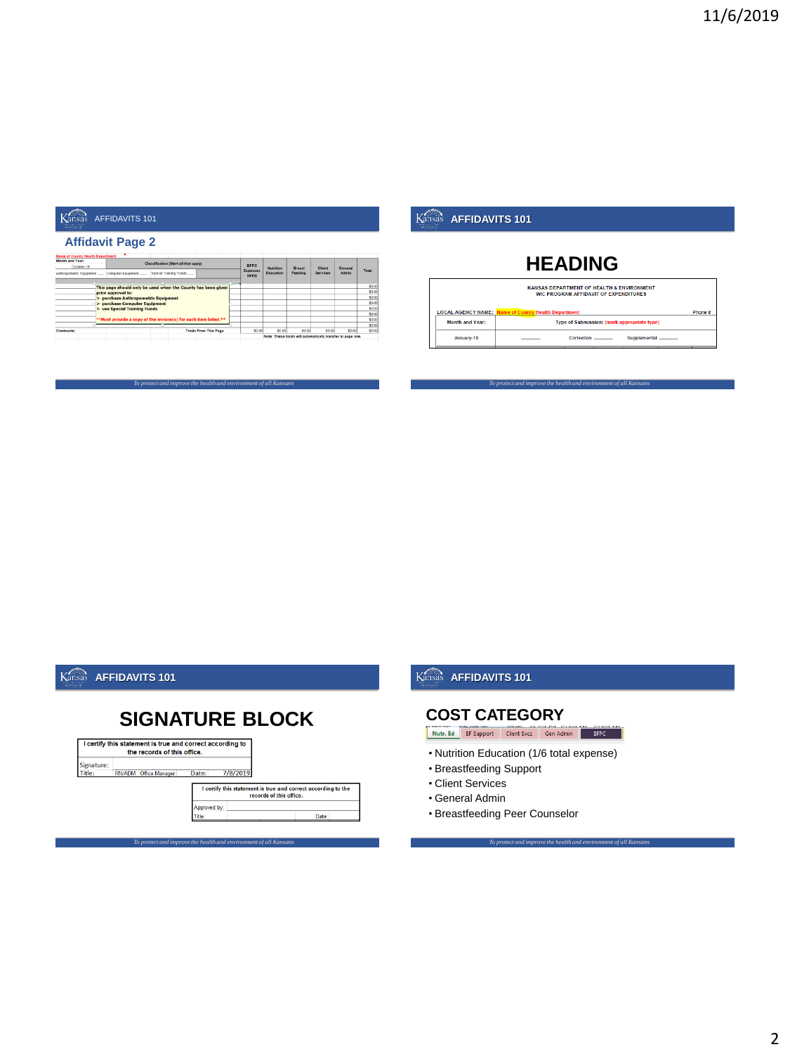#### **Affidavit Page 2**

| <b>Name of County Health Department</b>      |                                                                  |                                      |                              |  |                           |                  |                                                             |          |         |                  |
|----------------------------------------------|------------------------------------------------------------------|--------------------------------------|------------------------------|--|---------------------------|------------------|-------------------------------------------------------------|----------|---------|------------------|
| Month and Year:                              |                                                                  | Classification (Mark all that apply) |                              |  |                           |                  |                                                             |          |         |                  |
| October, 19                                  |                                                                  |                                      |                              |  | <b>BFPC</b>               | <b>Nutrition</b> | Breast                                                      | Client   | General |                  |
| Anthropometric Equipment  Computer Equipment |                                                                  | Special Training Funds               |                              |  | <b>Expenses</b><br>(only) | Education        | Feeding                                                     | Services | Admin   | Total            |
|                                              | This page should only be used when the County has been given     |                                      |                              |  |                           |                  |                                                             |          |         | \$0.00           |
|                                              | prior approval to:                                               |                                      |                              |  |                           |                  |                                                             |          |         | \$0.00           |
|                                              | > purchase Anthropometric Equipment                              |                                      |                              |  |                           |                  |                                                             |          |         | \$0.00           |
|                                              | > purchase Computer Equipment                                    |                                      |                              |  |                           |                  |                                                             |          |         | \$0.00           |
|                                              | > use Special Training Funds                                     |                                      |                              |  |                           |                  |                                                             |          |         | \$0.00           |
|                                              |                                                                  |                                      |                              |  |                           |                  |                                                             |          |         | \$0 <sub>0</sub> |
|                                              | ** Must provide a copy of the invoice(s) for each item listed.** |                                      |                              |  |                           |                  |                                                             |          |         | \$0.00           |
|                                              |                                                                  |                                      |                              |  |                           |                  |                                                             |          |         | \$0.00           |
| Commants:                                    |                                                                  |                                      | <b>Totals From This Page</b> |  | \$0.00                    | 00.00            | \$0.00                                                      | \$0.00   | \$0.00  | \$0.00           |
|                                              |                                                                  |                                      |                              |  |                           |                  | Note: These totals will automatically transfer to page one. |          |         |                  |
|                                              |                                                                  |                                      |                              |  |                           |                  |                                                             |          |         |                  |

*To protect and improve the health and environment of all Kansans*

## **Kansas AFFIDAVITS 101**

## **HEADING**



*To protect and improve the health and environment of all Kansans*

## **Kansas AFFIDAVITS 101**

# **SIGNATURE BLOCK**



## **Kansas AFFIDAVITS 101**

#### **COST CATEGORY**

Nutr. Ed BF Support | Client Svcs | Gen Admin | BFPC

• Nutrition Education (1/6 total expense)

- Breastfeeding Support
- Client Services
- General Admin
- Breastfeeding Peer Counselor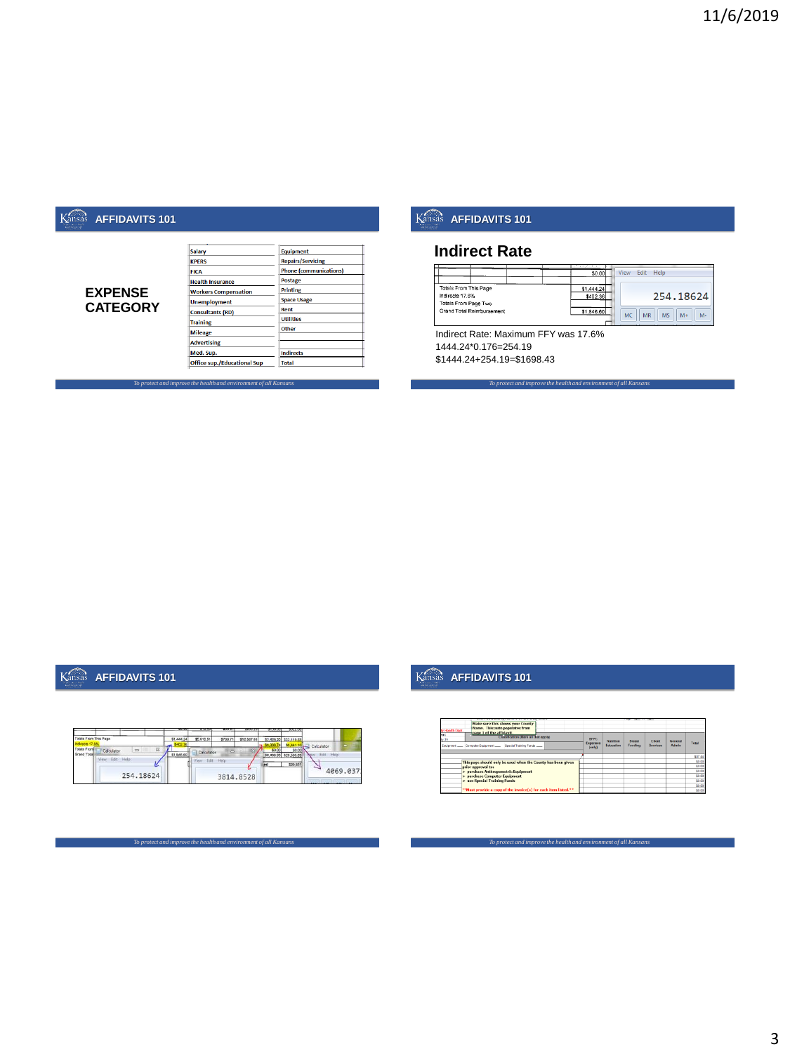#### **EXPENSE CATEGORY**

| <b>Salary</b>                      | <b>Equipment</b>              |
|------------------------------------|-------------------------------|
| <b>KPFRS</b>                       | <b>Repairs/Servicing</b>      |
| <b>FICA</b>                        | <b>Phone (communications)</b> |
| <b>Health Insurance</b>            | <b>Postage</b>                |
| <b>Workers Compensation</b>        | Printing                      |
| <b>Unemployment</b>                | <b>Space Usage</b>            |
| <b>Consultants (RD)</b>            | Rent                          |
| <b>Training</b>                    | <b>Utilities</b>              |
| <b>Mileage</b>                     | Other                         |
| <b>Advertising</b>                 |                               |
|                                    |                               |
| Med. Sup.                          | <b>Indirects</b>              |
| <b>Office sup./Educational Sup</b> | Total                         |

## **Kansas AFFIDAVITS 101**

#### **Indirect Rate**

|                                                   | and the second control of<br>\$0,00 | View | Fdit      | Help                        |
|---------------------------------------------------|-------------------------------------|------|-----------|-----------------------------|
| Totals From This Page<br>Indirects 17.6%          | \$1,444.24<br>\$402.36              |      |           | 254,18624                   |
| Totals From Page Two<br>Grand Total Reimbursement | \$1,846.60                          | MC   | <b>MR</b> | <b>MS</b><br>$M -$<br>$M +$ |

*To protect and improve the health and environment of all Kansans*

Indirect Rate: Maximum FFY was 17.6% 1444.24\*0.176=254.19 \$1444.24+254.19=\$1698.43

## **Kansas AFFIDAVITS 101**

|                                                                                    | 22.99      | $777 - 7$      | कारण     | 3200.25     | 3120.00    | 3022.00                |                     |
|------------------------------------------------------------------------------------|------------|----------------|----------|-------------|------------|------------------------|---------------------|
| Totals From This Page                                                              | \$1,444.24 | \$5,910.51     | \$768.71 | \$12,567.88 |            | \$2,428,20 \$23,119.53 |                     |
|                                                                                    |            |                |          |             | \$6,038.74 |                        | Calculator          |
| <b>Totals From</b><br>$\overline{\Sigma}$<br>$\equiv$<br>Calculator<br>Grand Total | \$1,845.60 | Calculator     |          |             | \$0.00     | \$29,500.              | <b>Help</b><br>5.68 |
| Edit<br>Help<br>View<br>u                                                          |            | View Fide Hele |          |             |            | \$29,561               | <b>Service</b>      |
| 254, 18624                                                                         |            |                |          | 3814.8528   |            |                        | 4069.037            |

*To protect and improve the health and environment of all Kansans*

*To protect and improve the health and environment of all Kansans*

#### Kansas **AFFIDAVITS 101**

| Make sure this shows your County<br>Name. This auto populates from<br>ly Health Dept.<br>page 1 of the affidavit. |                                                         |                        | __                      |                    |                         |         |
|-------------------------------------------------------------------------------------------------------------------|---------------------------------------------------------|------------------------|-------------------------|--------------------|-------------------------|---------|
| kan<br>Classification (Mark all that apply)<br>$7 - 19$<br>Equipment                                              | <b>REPC</b><br>Expenses<br>$\langle \sinh \rho \rangle$ | Nutrition<br>Education | <b>Rroad</b><br>Feeding | Client<br>Services | General<br><b>Admin</b> | Testal  |
|                                                                                                                   |                                                         |                        |                         |                    |                         | \$37.44 |
| This page should only be used when the County has been given                                                      |                                                         |                        |                         |                    |                         | \$0.00  |
| prior approval to:                                                                                                |                                                         |                        |                         |                    |                         | \$0.00  |
| > purchase Anthropometric Equipment                                                                               |                                                         |                        |                         |                    |                         | \$0.00  |
| > purchase Computer Foulpment                                                                                     |                                                         |                        |                         |                    |                         | \$0.00  |
| > use Special Training Funds                                                                                      |                                                         |                        |                         |                    |                         | \$0.00  |
|                                                                                                                   |                                                         |                        |                         |                    |                         | \$0.00  |
| <sup>83</sup> Must provide a copy of the invoice(s) for each item listed. <sup>83</sup>                           |                                                         |                        |                         |                    |                         | \$0.00  |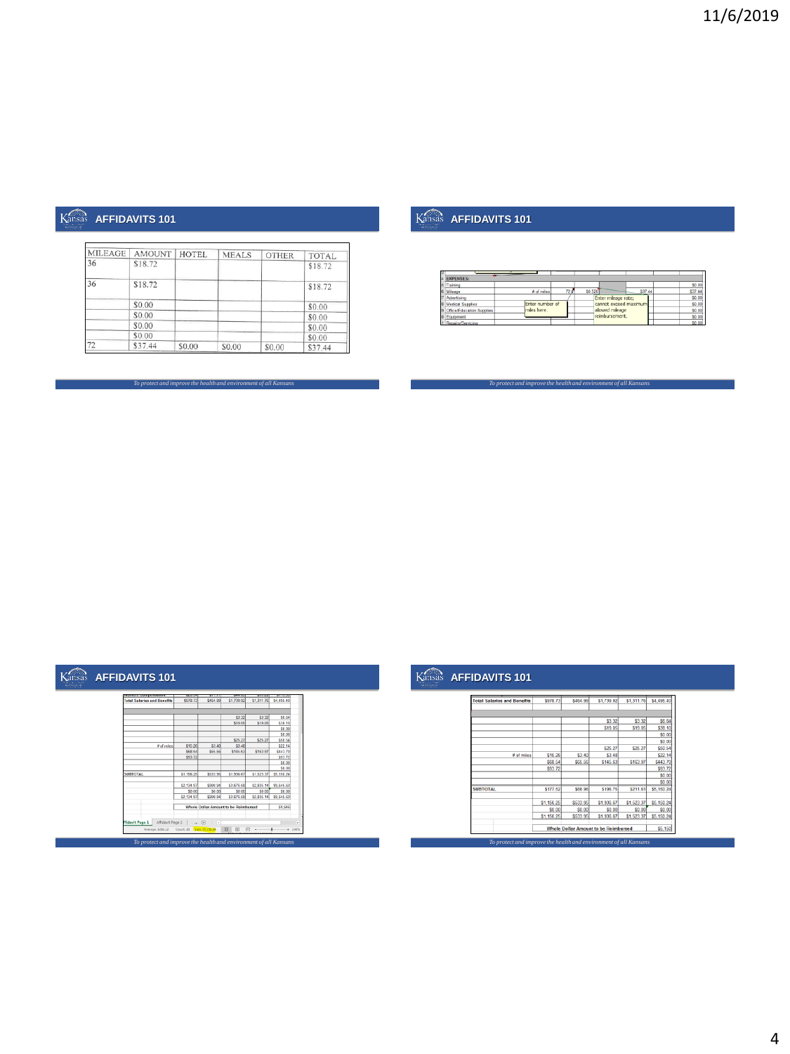| MILEAGE | <b>AMOUNT</b> | <b>HOTEL</b> | <b>MEALS</b> | <b>OTHER</b> | TOTAL.  |
|---------|---------------|--------------|--------------|--------------|---------|
| 36      | \$18.72       |              |              |              | \$18.72 |
| 36      | \$18.72       |              |              |              | \$18.72 |
|         | \$0.00        |              |              |              | \$0.00  |
|         | \$0.00        |              |              |              | \$0.00  |
|         | \$0.00        |              |              |              | \$0.00  |
|         | \$0.00        |              |              |              | \$0.00  |
| 72      | \$37.44       | \$0.00       | \$0.00       | \$0.00       | \$37.44 |

*To protect and improve the health and environment of all Kansans*

## **Kansas AFFIDAVITS 101**

| <b>EXPENSES:</b>          |                 |      |         |                       |         |         |
|---------------------------|-----------------|------|---------|-----------------------|---------|---------|
| Training                  |                 |      |         |                       |         | \$0.00  |
| Mileage                   | # of miles      | 72 O | \$0.520 |                       | \$37.44 | \$37.44 |
| Advertising               |                 |      |         | Enter mileage rate;   |         | \$0.00  |
| <b>Medical Supplies</b>   | Enter number of |      |         | cannot exceed maximum |         | \$0.00  |
| Office/Education Supplies | mies here.      |      |         | allowed mileage       |         | \$0.00  |
| Equipment                 |                 |      |         | reimbursement.        |         | \$0.00  |
| Repairs/Servicing         |                 |      |         |                       |         | \$0.00  |

*To protect and improve the health and environment of all Kansans*

# Kansas **AFFIDAVITS 101**

| A ADAMADEMENT AND A CHARLES AND A CARD COMPANY | <b>Victoria</b> |               |                                      | <b>Telephone</b> | <b>Williams</b> |  |
|------------------------------------------------|-----------------|---------------|--------------------------------------|------------------|-----------------|--|
| <b>Total Salaries and Benefits</b>             | \$978.73        | \$464.99      | \$1,739.92                           | \$1,311.76       | \$4,495.40      |  |
|                                                |                 |               |                                      |                  |                 |  |
|                                                |                 |               | \$3.32                               | \$3.32           | \$6.64          |  |
|                                                |                 |               | \$19.05                              | \$19.05          | \$38.10         |  |
|                                                |                 |               |                                      |                  | \$0.00          |  |
|                                                |                 |               |                                      |                  | \$0.00          |  |
|                                                |                 |               | \$25.27                              | \$25.27          | \$50.54         |  |
| # of mins                                      | \$15.26         | \$3.40        | \$3.48                               |                  | \$22.14         |  |
|                                                | \$68.54         | \$65.56       | \$145.63                             | \$163.97         | <b>S443.70</b>  |  |
|                                                | \$93.72         |               |                                      |                  | \$93.72         |  |
|                                                |                 |               |                                      |                  | \$0.00          |  |
|                                                |                 |               |                                      |                  | \$0.00          |  |
| <b>SUBTOTAL</b>                                | \$1,156.25      | \$533.96      | \$1,936.67                           | \$1,523.37       | \$5,150.24      |  |
|                                                | \$2,134.97      | \$998.94      | \$3,676.68                           | \$2,835.14       | \$9,645.63      |  |
|                                                | \$0.00          | \$0.00        | \$0.00                               | \$0.00           | \$0.00          |  |
|                                                | \$2,134.97      | \$998.94      | \$3,676.58                           | \$2,835.14       | \$9,645.63      |  |
|                                                |                 |               | Whole Dollar Amount to be Reimbursed |                  | \$9,646         |  |
|                                                |                 |               |                                      |                  |                 |  |
| Affidavit Page 2<br><b>fidavit Page 1</b>      | $ \circ$        | $\frac{1}{4}$ |                                      |                  |                 |  |
|                                                |                 |               | m<br>田                               | 円                | $+ 100%$        |  |

## **Kansas AFFIDAVITS 101**

| <b>Total Salaries and Benefits</b> | \$978.73   | S464.99  | \$1,739.92                                  | \$1,311.76 | \$4,495.40 |
|------------------------------------|------------|----------|---------------------------------------------|------------|------------|
|                                    |            |          |                                             |            |            |
|                                    |            |          | \$3.32                                      | \$3.32     | \$6.64     |
|                                    |            |          | \$19.05                                     | \$19.05    | \$38.10    |
|                                    |            |          |                                             |            | \$0.00     |
|                                    |            |          |                                             |            | \$0.00     |
|                                    |            |          | \$25.27                                     | \$25.27    | \$50.54    |
| # of miles                         | \$15.26    | \$3.40   | \$3.48                                      |            | \$22.14    |
|                                    | \$68.54    | \$65.56  | \$145.63                                    | \$163.97   | \$443.70   |
|                                    | \$93.72    |          |                                             |            | \$93.72    |
|                                    |            |          |                                             |            | \$0.00     |
|                                    |            |          |                                             |            | \$0.00     |
| <b>SUBTOTAL</b>                    | \$177.52   | \$68.96  | S196.75                                     | \$211.61   | \$5,150.24 |
|                                    | \$1,156.25 | \$533.95 | \$1,936.67                                  | \$1,523.37 | \$5,150.24 |
|                                    | \$0.00     | \$0.00   | \$0.00                                      | \$0.00     | \$0.00     |
|                                    | \$1,156.25 | \$533.95 | \$1,936.67                                  | \$1,523.37 | \$5,150.24 |
|                                    |            |          | <b>Whole Dollar Amount to be Reimbursed</b> |            | \$5,150    |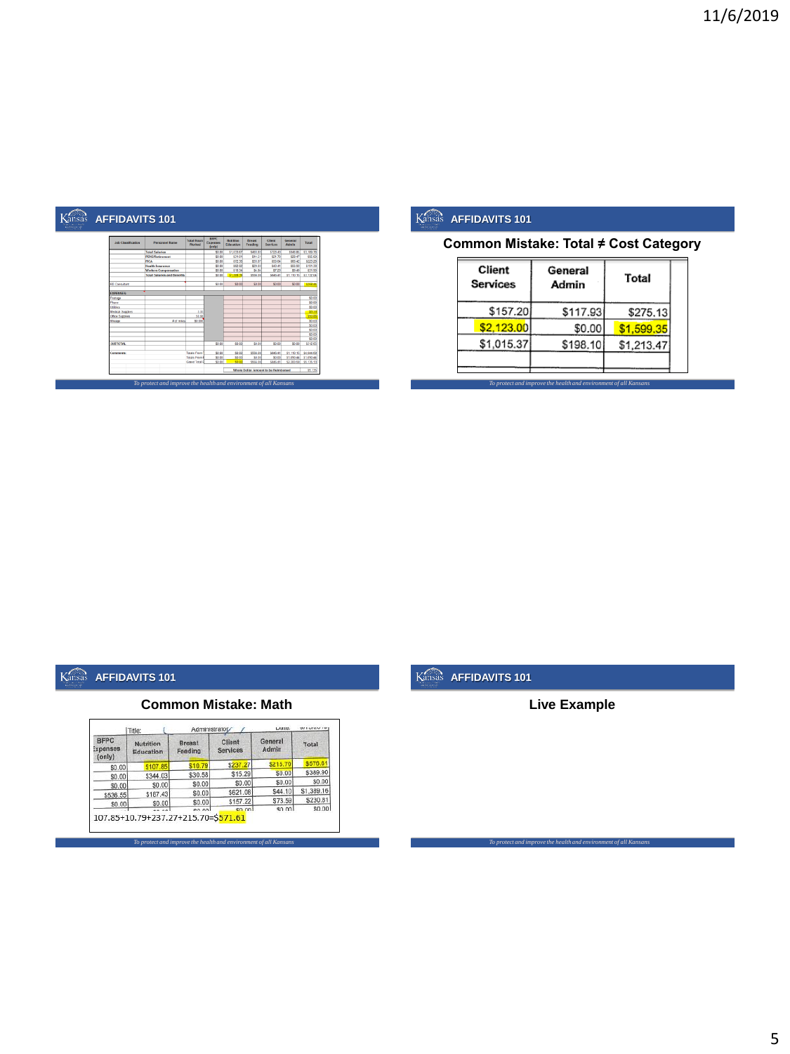| <b>Job Classification</b> | <b>Personnel Harns</b>             | <b>Total Hours</b><br>Worked | <b>BFPC</b><br>sperses<br><b>Gordhy</b> | <b>Matridore</b><br>Education | <b>Treast</b><br>Feeding | Client<br><b>Services</b>            | Geneval<br>Admin | Tetal      |
|---------------------------|------------------------------------|------------------------------|-----------------------------------------|-------------------------------|--------------------------|--------------------------------------|------------------|------------|
|                           | <b>Total Salaries</b>              |                              | \$0.00                                  | \$1,033.67                    | 5683.83                  | \$723.43                             | \$548.85         | \$1,589.78 |
|                           | <b>PENS/Retirement</b>             |                              | \$0.00                                  | \$31.01                       | \$14.51                  | \$21.70                              | \$20.47          | \$95.69    |
|                           | <b>FKLA</b>                        |                              | \$0.00                                  | \$72.36                       | \$33.87                  | \$50.64                              | \$66.43          | \$223.28   |
|                           | <b>Health Insurance</b>            |                              | \$0.00                                  | \$62.02                       | \$29.03                  | \$43.41                              | \$56.93          | \$191.39   |
|                           | <b>Workers Compernation</b>        |                              | 50.00                                   | \$10.34                       | 54.84                    | \$7.27                               | \$9.49           | \$31.90    |
|                           | <b>Total Salaries and Benefits</b> |                              | 50.00                                   | \$1,209.39                    | \$544.00                 | <b>SALG 41</b>                       | \$1,110.15       | \$3,732.04 |
| <b>RD Consultant</b>      |                                    |                              | \$0.00                                  | \$1.00                        | 50.00                    | SO.DO                                | 50.00            | \$258.44   |
| <b>FIREFIRES</b>          |                                    |                              |                                         |                               |                          |                                      |                  |            |
| Peetase                   |                                    |                              |                                         |                               |                          |                                      |                  | \$0.00     |
| Phone                     |                                    |                              |                                         |                               |                          |                                      |                  | \$0.00     |
| Utilities                 |                                    |                              |                                         |                               |                          |                                      |                  | \$0.00     |
| <b>Medical Supplex</b>    |                                    | 3.33                         |                                         |                               |                          |                                      |                  | 53.3       |
| Office Supplies           |                                    | 50.88                        |                                         |                               |                          |                                      |                  | \$50.80    |
| Mileage                   | # of miles                         | \$0,000                      |                                         |                               |                          |                                      |                  | \$0.00     |
|                           |                                    |                              |                                         |                               |                          |                                      |                  | \$0.00     |
|                           |                                    |                              |                                         |                               |                          |                                      |                  | \$0.00     |
|                           |                                    |                              |                                         |                               |                          |                                      |                  | \$0.00     |
|                           |                                    |                              |                                         |                               |                          |                                      |                  | \$0.00     |
| <b>SUBTOTAL</b>           |                                    |                              | \$0.00                                  | \$1.00                        | 50.00                    | \$0.00                               | \$0.00           | \$312.65   |
| Commersion                |                                    | Tetals Fram                  | \$0.00                                  | \$1.00                        | \$566,00                 | \$846.41                             | \$1,110,157      | \$4,044.69 |
|                           |                                    | <b>Totals From</b>           | \$0.00                                  | \$1.00                        | 50.00                    | \$0.00                               | \$1,050.44       | \$1,090.44 |
|                           |                                    | Grand Total F                | 50.00                                   | 51.07                         | STAR DE                  | 5546.41                              | \$2,200,58       | \$5,535.53 |
|                           |                                    |                              |                                         |                               |                          | Whole Dollar Amount to be Reimbursed |                  | \$5.136    |

**Common Mistake: Total ≠ Cost Category**

| Client<br><b>Services</b> | General<br>Admin | Total      |  |  |
|---------------------------|------------------|------------|--|--|
| \$157.20                  | \$117.93         | \$275.13   |  |  |
| \$2,123,00                | \$0.00           | \$1,599.35 |  |  |
| \$1,015.37                | \$198.10         | \$1,213.47 |  |  |

*To protect and improve the health and environment of all Kansans*

## Kansas **AFFIDAVITS 101**

#### **Common Mistake: Math**

| <b>BFPC</b><br>ixpenses<br>(only) | Nutrition<br>Education | <b>Breast</b><br>Feeding | Client<br><b>Services</b> | General<br>Admin | Total      |  |
|-----------------------------------|------------------------|--------------------------|---------------------------|------------------|------------|--|
| \$0.00                            | \$107.85               | \$10.79                  | \$237.27                  | \$215.70         | \$576.61   |  |
| \$0.00                            | \$344.03               | \$30.58                  | \$15.29                   | \$0.00           | \$389.90   |  |
| \$0.00                            | \$0.00                 | \$0.00                   | \$0.00                    | \$0.00           | \$0.00     |  |
| \$536.55                          | \$187.43               | \$0.00                   | \$621.08                  | \$44.10          | \$1,389.16 |  |
| \$0.00                            | \$0.00                 | \$0.00                   | \$157.22                  | \$73.59          | \$230.81   |  |
|                                   |                        | en not                   | en nni                    | sn nnl           | \$0.00     |  |

*To protect and improve the health and environment of all Kansans*

## **Kansas AFFIDAVITS 101**

#### **Live Example**